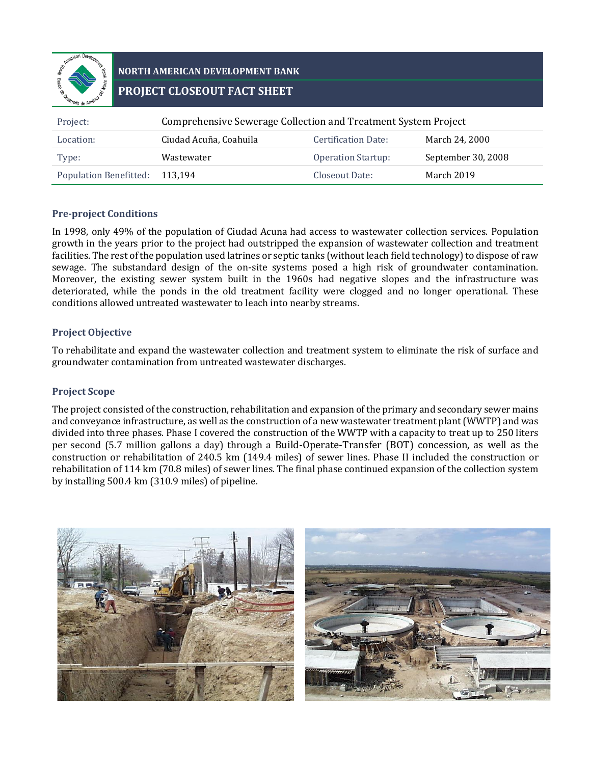

# **NORTH AMERICAN DEVELOPMENT BANK PROJECT CLOSEOUT FACT SHEET**

| Project:                      | Comprehensive Sewerage Collection and Treatment System Project |                            |                    |  |
|-------------------------------|----------------------------------------------------------------|----------------------------|--------------------|--|
| Location:                     | Ciudad Acuña, Coahuila                                         | <b>Certification Date:</b> | March 24, 2000     |  |
| Type:                         | Wastewater                                                     | <b>Operation Startup:</b>  | September 30, 2008 |  |
| <b>Population Benefitted:</b> | 113.194                                                        | Closeout Date:             | March 2019         |  |

#### **Pre-project Conditions**

In 1998, only 49% of the population of Ciudad Acuna had access to wastewater collection services. Population growth in the years prior to the project had outstripped the expansion of wastewater collection and treatment facilities. The rest of the population used latrines or septic tanks (without leach field technology) to dispose of raw sewage. The substandard design of the on-site systems posed a high risk of groundwater contamination. Moreover, the existing sewer system built in the 1960s had negative slopes and the infrastructure was deteriorated, while the ponds in the old treatment facility were clogged and no longer operational. These conditions allowed untreated wastewater to leach into nearby streams.

### **Project Objective**

To rehabilitate and expand the wastewater collection and treatment system to eliminate the risk of surface and groundwater contamination from untreated wastewater discharges.

## **Project Scope**

The project consisted of the construction, rehabilitation and expansion of the primary and secondary sewer mains and conveyance infrastructure, as well as the construction of a new wastewater treatment plant (WWTP) and was divided into three phases. Phase I covered the construction of the WWTP with a capacity to treat up to 250 liters per second (5.7 million gallons a day) through a Build-Operate-Transfer (BOT) concession, as well as the construction or rehabilitation of 240.5 km (149.4 miles) of sewer lines. Phase II included the construction or rehabilitation of 114 km (70.8 miles) of sewer lines. The final phase continued expansion of the collection system by installing 500.4 km (310.9 miles) of pipeline.